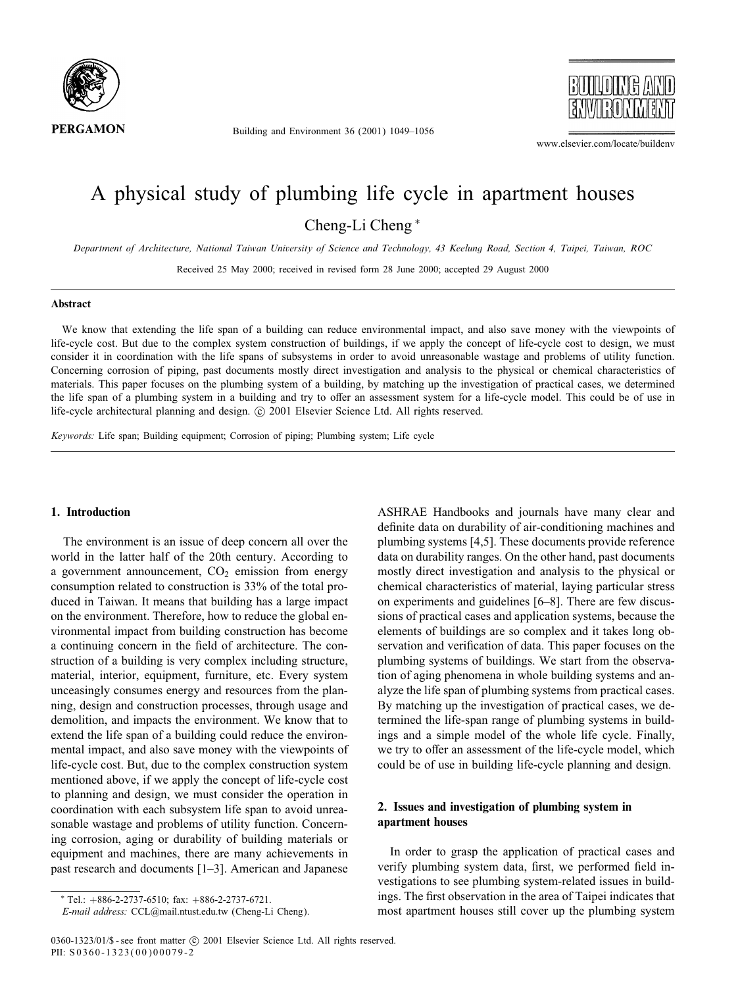

Building and Environment 36 (2001) 1049–1056



www.elsevier.com/locate/buildenv

# A physical study of plumbing life cycle in apartment houses Cheng-Li Cheng <sup>∗</sup>

*Department of Architecture, National Taiwan University of Science and Technology, 43 Keelung Road, Section 4, Taipei, Taiwan, ROC*

Received 25 May 2000; received in revised form 28 June 2000; accepted 29 August 2000

#### **Abstract**

We know that extending the life span of a building can reduce environmental impact, and also save money with the viewpoints of life-cycle cost. But due to the complex system construction of buildings, if we apply the concept of life-cycle cost to design, we must consider it in coordination with the life spans of subsystems in order to avoid unreasonable wastage and problems of utility function. Concerning corrosion of piping, past documents mostly direct investigation and analysis to the physical or chemical characteristics of materials. This paper focuses on the plumbing system of a building, by matching up the investigation of practical cases, we determined the life span of a plumbing system in a building and try to offer an assessment system for a life-cycle model. This could be of use in life-cycle architectural planning and design. © 2001 Elsevier Science Ltd. All rights reserved.

*Keywords:* Life span; Building equipment; Corrosion of piping; Plumbing system; Life cycle

### **1. Introduction**

The environment is an issue of deep concern all over the world in the latter half of the 20th century. According to a government announcement,  $CO<sub>2</sub>$  emission from energy consumption related to construction is 33% of the total produced in Taiwan. It means that building has a large impact on the environment. Therefore, how to reduce the global environmental impact from building construction has become a continuing concern in the field of architecture. The construction of a building is very complex including structure, material, interior, equipment, furniture, etc. Every system unceasingly consumes energy and resources from the planning, design and construction processes, through usage and demolition, and impacts the environment. We know that to extend the life span of a building could reduce the environmental impact, and also save money with the viewpoints of life-cycle cost. But, due to the complex construction system mentioned above, if we apply the concept of life-cycle cost to planning and design, we must consider the operation in coordination with each subsystem life span to avoid unreasonable wastage and problems of utility function. Concerning corrosion, aging or durability of building materials or equipment and machines, there are many achievements in past research and documents [1–3]. American and Japanese ASHRAE Handbooks and journals have many clear and definite data on durability of air-conditioning machines and plumbing systems [4,5]. These documents provide reference data on durability ranges. On the other hand, past documents mostly direct investigation and analysis to the physical or chemical characteristics of material, laying particular stress on experiments and guidelines [6–8]. There are few discussions of practical cases and application systems, because the elements of buildings are so complex and it takes long observation and verification of data. This paper focuses on the plumbing systems of buildings. We start from the observation of aging phenomena in whole building systems and analyze the life span of plumbing systems from practical cases. By matching up the investigation of practical cases, we determined the life-span range of plumbing systems in buildings and a simple model of the whole life cycle. Finally, we try to offer an assessment of the life-cycle model, which could be of use in building life-cycle planning and design.

### **2. Issues and investigation of plumbing system in apartment houses**

In order to grasp the application of practical cases and verify plumbing system data, first, we performed field investigations to see plumbing system-related issues in buildings. The first observation in the area of Taipei indicates that most apartment houses still cover up the plumbing system

<sup>∗</sup> Tel.: +886-2-2737-6510; fax: +886-2-2737-6721.

*E-mail address:* CCL@mail.ntust.edu.tw (Cheng-Li Cheng).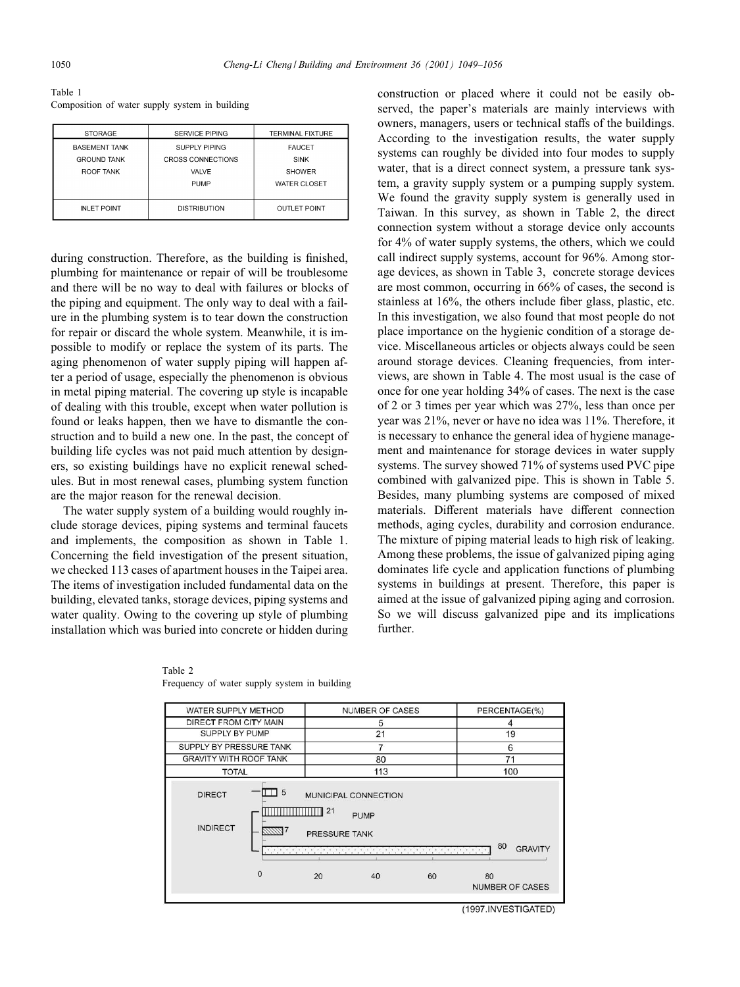Table 1 Composition of water supply system in building

| <b>STORAGE</b>       | <b>SERVICE PIPING</b>    | <b>TERMINAL FIXTURE</b> |  |
|----------------------|--------------------------|-------------------------|--|
| <b>BASEMENT TANK</b> | SUPPLY PIPING            | <b>FAUCET</b>           |  |
| <b>GROUND TANK</b>   | <b>CROSS CONNECTIONS</b> | <b>SINK</b>             |  |
| ROOF TANK            | VALVE                    | <b>SHOWER</b>           |  |
|                      | <b>PUMP</b>              | WATER CLOSET            |  |
|                      |                          |                         |  |
| <b>INLET POINT</b>   | <b>DISTRIBUTION</b>      | <b>OUTLET POINT</b>     |  |

during construction. Therefore, as the building is finished, plumbing for maintenance or repair of will be troublesome and there will be no way to deal with failures or blocks of the piping and equipment. The only way to deal with a failure in the plumbing system is to tear down the construction for repair or discard the whole system. Meanwhile, it is impossible to modify or replace the system of its parts. The aging phenomenon of water supply piping will happen after a period of usage, especially the phenomenon is obvious in metal piping material. The covering up style is incapable of dealing with this trouble, except when water pollution is found or leaks happen, then we have to dismantle the construction and to build a new one. In the past, the concept of building life cycles was not paid much attention by designers, so existing buildings have no explicit renewal schedules. But in most renewal cases, plumbing system function are the major reason for the renewal decision.

The water supply system of a building would roughly include storage devices, piping systems and terminal faucets and implements, the composition as shown in Table 1. Concerning the field investigation of the present situation, we checked 113 cases of apartment houses in the Taipei area. The items of investigation included fundamental data on the building, elevated tanks, storage devices, piping systems and water quality. Owing to the covering up style of plumbing installation which was buried into concrete or hidden during construction or placed where it could not be easily observed, the paper's materials are mainly interviews with owners, managers, users or technical staffs of the buildings. According to the investigation results, the water supply systems can roughly be divided into four modes to supply water, that is a direct connect system, a pressure tank system, a gravity supply system or a pumping supply system. We found the gravity supply system is generally used in Taiwan. In this survey, as shown in Table 2, the direct connection system without a storage device only accounts for 4% of water supply systems, the others, which we could call indirect supply systems, account for 96%. Among storage devices, as shown in Table 3, concrete storage devices are most common, occurring in 66% of cases, the second is stainless at  $16\%$ , the others include fiber glass, plastic, etc. In this investigation, we also found that most people do not place importance on the hygienic condition of a storage device. Miscellaneous articles or objects always could be seen around storage devices. Cleaning frequencies, from interviews, are shown in Table 4. The most usual is the case of once for one year holding 34% of cases. The next is the case of 2 or 3 times per year which was 27%, less than once per year was 21%, never or have no idea was 11%. Therefore, it is necessary to enhance the general idea of hygiene management and maintenance for storage devices in water supply systems. The survey showed 71% of systems used PVC pipe combined with galvanized pipe. This is shown in Table 5. Besides, many plumbing systems are composed of mixed materials. Different materials have different connection methods, aging cycles, durability and corrosion endurance. The mixture of piping material leads to high risk of leaking. Among these problems, the issue of galvanized piping aging dominates life cycle and application functions of plumbing systems in buildings at present. Therefore, this paper is aimed at the issue of galvanized piping aging and corrosion. So we will discuss galvanized pipe and its implications further.

| WATER SUPPLY METHOD                                                                                                                                                                       |              | <b>NUMBER OF CASES</b> |     |    | PERCENTAGE(%) |                        |  |
|-------------------------------------------------------------------------------------------------------------------------------------------------------------------------------------------|--------------|------------------------|-----|----|---------------|------------------------|--|
| DIRECT FROM CITY MAIN                                                                                                                                                                     |              |                        | 5   |    | 4             |                        |  |
| SUPPLY BY PUMP                                                                                                                                                                            |              |                        | 21  |    | 19            |                        |  |
| SUPPLY BY PRESSURE TANK                                                                                                                                                                   |              |                        | 7   |    | 6             |                        |  |
| <b>GRAVITY WITH ROOF TANK</b>                                                                                                                                                             |              |                        | 80  |    | 71            |                        |  |
| <b>TOTAL</b>                                                                                                                                                                              |              |                        | 113 |    | 100           |                        |  |
| 5<br><b>DIRECT</b><br>MUNICIPAL CONNECTION<br>21<br><b>PUMP</b><br><b>INDIRECT</b><br>PRESSURE TANK<br>80<br><b>GRAVITY</b><br>tatanana na manana na manana na manana na manana na manana |              |                        |     |    |               |                        |  |
|                                                                                                                                                                                           | $\mathbf{0}$ | 20                     | 40  | 60 | 80            | <b>NUMBER OF CASES</b> |  |

Table 2 Frequency of water supply system in building

(1997.INVESTIGATED)